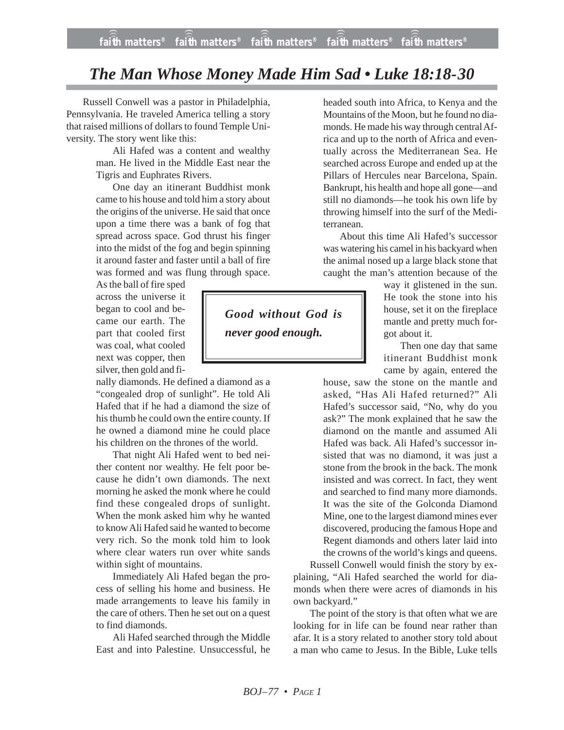## *The Man Whose Money Made Him Sad • Luke 18:18-30*

Russell Conwell was a pastor in Philadelphia, Pennsylvania. He traveled America telling a story that raised millions of dollars to found Temple University. The story went like this:

> Ali Hafed was a content and wealthy man. He lived in the Middle East near the Tigris and Euphrates Rivers.

One day an itinerant Buddhist monk came to his house and told him a story about the origins of the universe. He said that once upon a time there was a bank of fog that spread across space. God thrust his finger into the midst of the fog and begin spinning it around faster and faster until a ball of fire was formed and was flung through space.

As the ball of fire sped across the universe it began to cool and became our earth. The part that cooled first was coal, what cooled next was copper, then silver, then gold and fi-

nally diamonds. He defined a diamond as a "congealed drop of sunlight". He told Ali Hafed that if he had a diamond the size of his thumb he could own the entire county. If he owned a diamond mine he could place his children on the thrones of the world.

That night Ali Hafed went to bed neither content nor wealthy. He felt poor because he didn't own diamonds. The next morning he asked the monk where he could find these congealed drops of sunlight. When the monk asked him why he wanted to know Ali Hafed said he wanted to become very rich. So the monk told him to look where clear waters run over white sands within sight of mountains.

Immediately Ali Hafed began the process of selling his home and business. He made arrangements to leave his family in the care of others. Then he set out on a quest to find diamonds.

Ali Hafed searched through the Middle East and into Palestine. Unsuccessful, he headed south into Africa, to Kenya and the Mountains of the Moon, but he found no diamonds. He made his way through central Africa and up to the north of Africa and eventually across the Mediterranean Sea. He searched across Europe and ended up at the Pillars of Hercules near Barcelona, Spain. Bankrupt, his health and hope all gone—and still no diamonds—he took his own life by throwing himself into the surf of the Mediterranean.

About this time Ali Hafed's successor was watering his camel in his backyard when the animal nosed up a large black stone that caught the man's attention because of the

> way it glistened in the sun. He took the stone into his house, set it on the fireplace mantle and pretty much forgot about it.

> Then one day that same itinerant Buddhist monk came by again, entered the

house, saw the stone on the mantle and asked, "Has Ali Hafed returned?" Ali Hafed's successor said, "No, why do you ask?" The monk explained that he saw the diamond on the mantle and assumed Ali Hafed was back. Ali Hafed's successor insisted that was no diamond, it was just a stone from the brook in the back. The monk insisted and was correct. In fact, they went and searched to find many more diamonds. It was the site of the Golconda Diamond Mine, one to the largest diamond mines ever discovered, producing the famous Hope and Regent diamonds and others later laid into the crowns of the world's kings and queens.

Russell Conwell would finish the story by explaining, "Ali Hafed searched the world for diamonds when there were acres of diamonds in his own backyard."

The point of the story is that often what we are looking for in life can be found near rather than afar. It is a story related to another story told about a man who came to Jesus. In the Bible, Luke tells

*Good without God is never good enough.*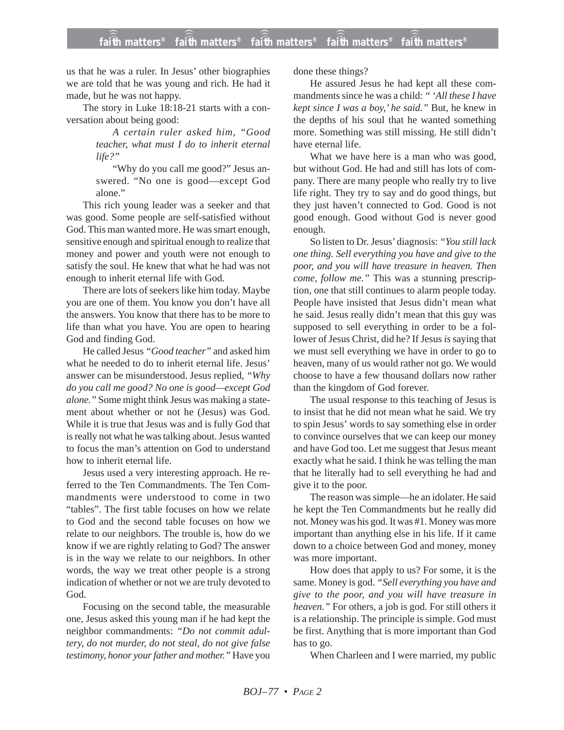## **faith matters® faith matters® faith matters® faith matters® faith matters®** ))) ))) ))) ))) )))

us that he was a ruler. In Jesus' other biographies we are told that he was young and rich. He had it made, but he was not happy.

The story in Luke 18:18-21 starts with a conversation about being good:

> *A certain ruler asked him, "Good teacher, what must I do to inherit eternal life?"*

> "Why do you call me good?" Jesus answered. "No one is good—except God alone."

This rich young leader was a seeker and that was good. Some people are self-satisfied without God. This man wanted more. He was smart enough, sensitive enough and spiritual enough to realize that money and power and youth were not enough to satisfy the soul. He knew that what he had was not enough to inherit eternal life with God.

There are lots of seekers like him today. Maybe you are one of them. You know you don't have all the answers. You know that there has to be more to life than what you have. You are open to hearing God and finding God.

He called Jesus *"Good teacher"* and asked him what he needed to do to inherit eternal life. Jesus' answer can be misunderstood. Jesus replied, *"Why do you call me good? No one is good—except God alone."* Some might think Jesus was making a statement about whether or not he (Jesus) was God. While it is true that Jesus was and is fully God that is really not what he was talking about. Jesus wanted to focus the man's attention on God to understand how to inherit eternal life.

Jesus used a very interesting approach. He referred to the Ten Commandments. The Ten Commandments were understood to come in two "tables". The first table focuses on how we relate to God and the second table focuses on how we relate to our neighbors. The trouble is, how do we know if we are rightly relating to God? The answer is in the way we relate to our neighbors. In other words, the way we treat other people is a strong indication of whether or not we are truly devoted to God.

Focusing on the second table, the measurable one, Jesus asked this young man if he had kept the neighbor commandments: *"Do not commit adultery, do not murder, do not steal, do not give false testimony, honor your father and mother."* Have you done these things?

He assured Jesus he had kept all these commandments since he was a child: *" 'All these I have kept since I was a boy,' he said."* But, he knew in the depths of his soul that he wanted something more. Something was still missing. He still didn't have eternal life.

What we have here is a man who was good, but without God. He had and still has lots of company. There are many people who really try to live life right. They try to say and do good things, but they just haven't connected to God. Good is not good enough. Good without God is never good enough.

So listen to Dr. Jesus' diagnosis: *"You still lack one thing. Sell everything you have and give to the poor, and you will have treasure in heaven. Then come, follow me."* This was a stunning prescription, one that still continues to alarm people today. People have insisted that Jesus didn't mean what he said. Jesus really didn't mean that this guy was supposed to sell everything in order to be a follower of Jesus Christ, did he? If Jesus *is*saying that we must sell everything we have in order to go to heaven, many of us would rather not go. We would choose to have a few thousand dollars now rather than the kingdom of God forever.

The usual response to this teaching of Jesus is to insist that he did not mean what he said. We try to spin Jesus' words to say something else in order to convince ourselves that we can keep our money and have God too. Let me suggest that Jesus meant exactly what he said. I think he was telling the man that he literally had to sell everything he had and give it to the poor.

The reason was simple—he an idolater. He said he kept the Ten Commandments but he really did not. Money was his god. It was #1. Money was more important than anything else in his life. If it came down to a choice between God and money, money was more important.

How does that apply to us? For some, it is the same. Money is god. *"Sell everything you have and give to the poor, and you will have treasure in heaven."* For others, a job is god. For still others it is a relationship. The principle is simple. God must be first. Anything that is more important than God has to go.

When Charleen and I were married, my public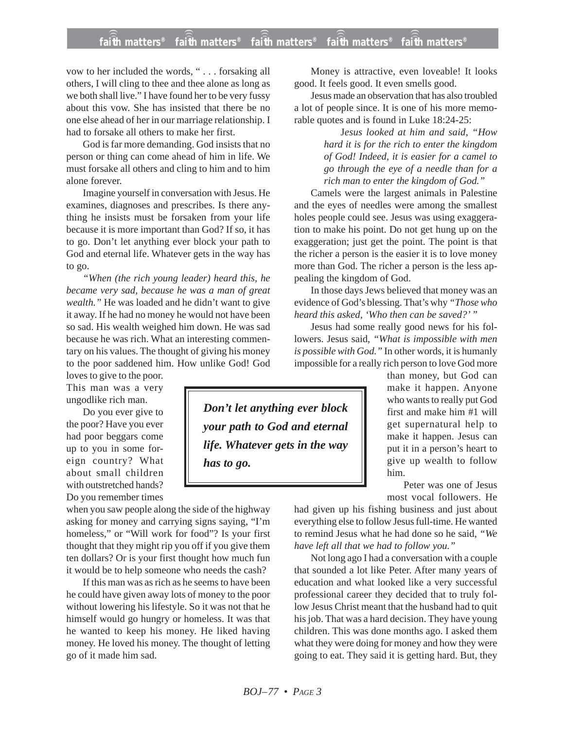## **faith matters® faith matters® faith matters® faith matters® faith matters®** ))) ))) ))) ))) )))

vow to her included the words, " . . . forsaking all others, I will cling to thee and thee alone as long as we both shall live." I have found her to be very fussy about this vow. She has insisted that there be no one else ahead of her in our marriage relationship. I had to forsake all others to make her first.

God is far more demanding. God insists that no person or thing can come ahead of him in life. We must forsake all others and cling to him and to him alone forever.

Imagine yourself in conversation with Jesus. He examines, diagnoses and prescribes. Is there anything he insists must be forsaken from your life because it is more important than God? If so, it has to go. Don't let anything ever block your path to God and eternal life. Whatever gets in the way has to go.

*"When (the rich young leader) heard this, he became very sad, because he was a man of great wealth."* He was loaded and he didn't want to give it away. If he had no money he would not have been so sad. His wealth weighed him down. He was sad because he was rich. What an interesting commentary on his values. The thought of giving his money to the poor saddened him. How unlike God! God

loves to give to the poor. This man was a very ungodlike rich man.

Do you ever give to the poor? Have you ever had poor beggars come up to you in some foreign country? What about small children with outstretched hands? Do you remember times

when you saw people along the side of the highway asking for money and carrying signs saying, "I'm homeless," or "Will work for food"? Is your first thought that they might rip you off if you give them ten dollars? Or is your first thought how much fun it would be to help someone who needs the cash?

If this man was as rich as he seems to have been he could have given away lots of money to the poor without lowering his lifestyle. So it was not that he himself would go hungry or homeless. It was that he wanted to keep his money. He liked having money. He loved his money. The thought of letting go of it made him sad.

Money is attractive, even loveable! It looks good. It feels good. It even smells good.

Jesus made an observation that has also troubled a lot of people since. It is one of his more memorable quotes and is found in Luke 18:24-25:

> J*esus looked at him and said, "How hard it is for the rich to enter the kingdom of God! Indeed, it is easier for a camel to go through the eye of a needle than for a rich man to enter the kingdom of God."*

Camels were the largest animals in Palestine and the eyes of needles were among the smallest holes people could see. Jesus was using exaggeration to make his point. Do not get hung up on the exaggeration; just get the point. The point is that the richer a person is the easier it is to love money more than God. The richer a person is the less appealing the kingdom of God.

In those days Jews believed that money was an evidence of God's blessing. That's why *"Those who heard this asked, 'Who then can be saved?' "*

Jesus had some really good news for his followers. Jesus said, *"What is impossible with men is possible with God."* In other words, it is humanly impossible for a really rich person to love God more

> than money, but God can make it happen. Anyone who wants to really put God first and make him #1 will get supernatural help to make it happen. Jesus can put it in a person's heart to give up wealth to follow him.

> Peter was one of Jesus most vocal followers. He

had given up his fishing business and just about everything else to follow Jesus full-time. He wanted to remind Jesus what he had done so he said, *"We have left all that we had to follow you."*

Not long ago I had a conversation with a couple that sounded a lot like Peter. After many years of education and what looked like a very successful professional career they decided that to truly follow Jesus Christ meant that the husband had to quit his job. That was a hard decision. They have young children. This was done months ago. I asked them what they were doing for money and how they were going to eat. They said it is getting hard. But, they

*Don't let anything ever block your path to God and eternal life. Whatever gets in the way has to go.*